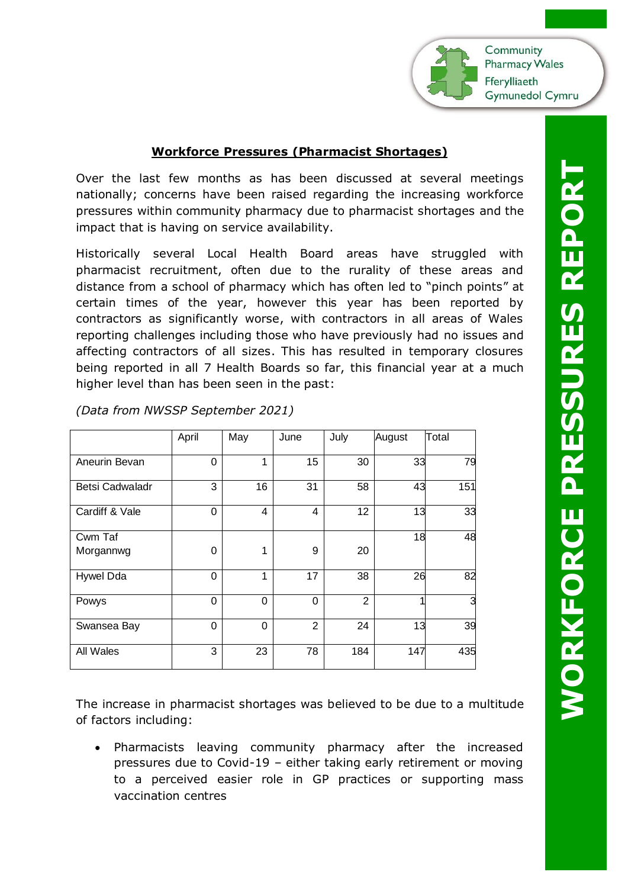Community **Pharmacy Wales** Fferylliaeth **Gymunedol Cymru** 

## **Workforce Pressures (Pharmacist Shortages)**

Over the last few months as has been discussed at several meetings nationally; concerns have been raised regarding the increasing workforce pressures within community pharmacy due to pharmacist shortages and the impact that is having on service availability.

Historically several Local Health Board areas have struggled with pharmacist recruitment, often due to the rurality of these areas and distance from a school of pharmacy which has often led to "pinch points" at certain times of the year, however this year has been reported by contractors as significantly worse, with contractors in all areas of Wales reporting challenges including those who have previously had no issues and affecting contractors of all sizes. This has resulted in temporary closures being reported in all 7 Health Boards so far, this financial year at a much higher level than has been seen in the past:

|                      | April          | May      | June     | July           | August | Total |
|----------------------|----------------|----------|----------|----------------|--------|-------|
| Aneurin Bevan        | 0              | 1        | 15       | 30             | 33     | 79    |
| Betsi Cadwaladr      | 3              | 16       | 31       | 58             | 43     | 151   |
| Cardiff & Vale       | $\overline{0}$ | 4        | 4        | 12             | 13     | 33    |
| Cwm Taf<br>Morgannwg | 0              | 1        | 9        | 20             | 18     | 48    |
| Hywel Dda            | $\overline{0}$ | 1        | 17       | 38             | 26     | 82    |
| Powys                | $\mathbf 0$    | $\Omega$ | $\Omega$ | $\overline{2}$ |        | 3     |
| Swansea Bay          | 0              | 0        | 2        | 24             | 13     | 39    |
| All Wales            | 3              | 23       | 78       | 184            | 147    | 435   |

*(Data from NWSSP September 2021)*

The increase in pharmacist shortages was believed to be due to a multitude of factors including:

• Pharmacists leaving community pharmacy after the increased pressures due to Covid-19 – either taking early retirement or moving to a perceived easier role in GP practices or supporting mass vaccination centres

**WORKFORCE PRESSURES REPORT** *NORKFORCE PRESSURES REPOR*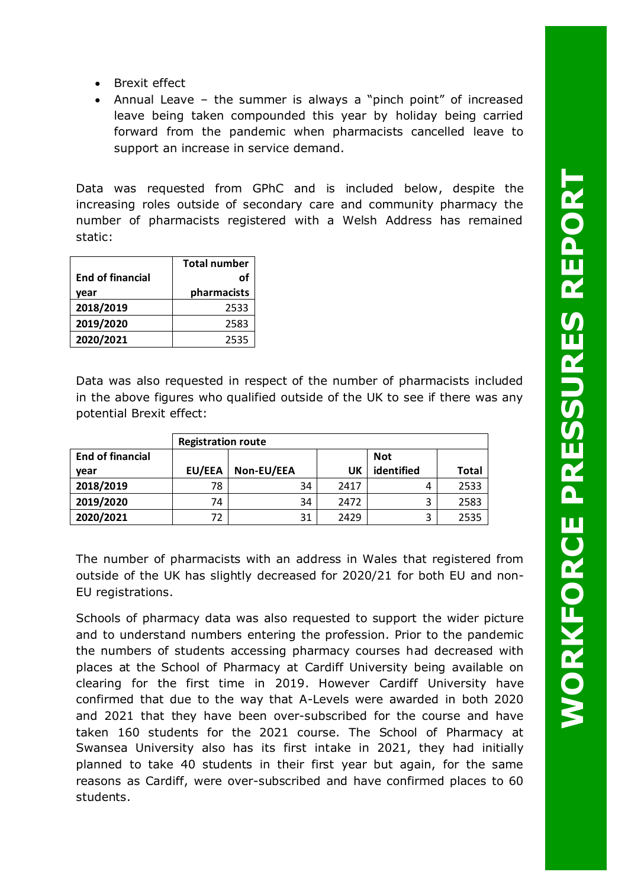- Brexit effect
- Annual Leave the summer is always a "pinch point" of increased leave being taken compounded this year by holiday being carried forward from the pandemic when pharmacists cancelled leave to support an increase in service demand.

Data was requested from GPhC and is included below, despite the increasing roles outside of secondary care and community pharmacy the number of pharmacists registered with a Welsh Address has remained static:

|                         | <b>Total number</b> |
|-------------------------|---------------------|
| <b>End of financial</b> | οf                  |
| vear                    | pharmacists         |
| 2018/2019               | 2533                |
| 2019/2020               | 2583                |
| 2020/2021               | 2535                |

Data was also requested in respect of the number of pharmacists included in the above figures who qualified outside of the UK to see if there was any potential Brexit effect:

|                         | <b>Registration route</b> |            |      |            |              |  |  |  |  |
|-------------------------|---------------------------|------------|------|------------|--------------|--|--|--|--|
| <b>End of financial</b> |                           | <b>Not</b> |      |            |              |  |  |  |  |
| vear                    | EU/EEA                    | Non-EU/EEA | UK   | identified | <b>Total</b> |  |  |  |  |
| 2018/2019               | 78                        | 34         | 2417 | 4          | 2533         |  |  |  |  |
| 2019/2020               | 74                        | 34         | 2472 | 3          | 2583         |  |  |  |  |
| 2020/2021               | 72                        | 31         | 2429 | 3          | 2535         |  |  |  |  |

The number of pharmacists with an address in Wales that registered from outside of the UK has slightly decreased for 2020/21 for both EU and non-EU registrations.

Schools of pharmacy data was also requested to support the wider picture and to understand numbers entering the profession. Prior to the pandemic the numbers of students accessing pharmacy courses had decreased with places at the School of Pharmacy at Cardiff University being available on clearing for the first time in 2019. However Cardiff University have confirmed that due to the way that A-Levels were awarded in both 2020 and 2021 that they have been over-subscribed for the course and have taken 160 students for the 2021 course. The School of Pharmacy at Swansea University also has its first intake in 2021, they had initially planned to take 40 students in their first year but again, for the same reasons as Cardiff, were over-subscribed and have confirmed places to 60 students.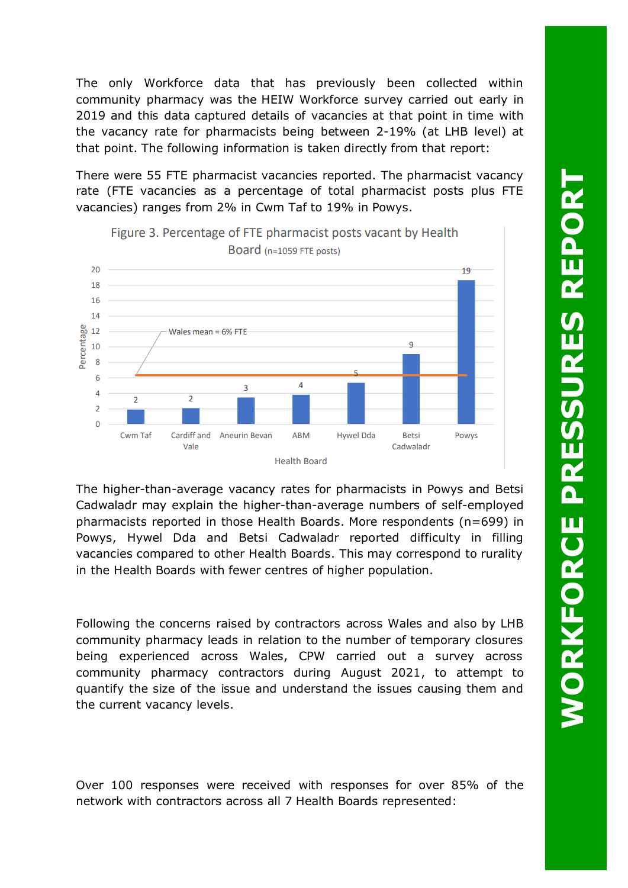The only Workforce data that has previously been collected within community pharmacy was the HEIW Workforce survey carried out early in 2019 and this data captured details of vacancies at that point in time with the vacancy rate for pharmacists being between 2-19% (at LHB level) at that point. The following information is taken directly from that report:

There were 55 FTE pharmacist vacancies reported. The pharmacist vacancy rate (FTE vacancies as a percentage of total pharmacist posts plus FTE vacancies) ranges from 2% in Cwm Taf to 19% in Powys.



The higher-than-average vacancy rates for pharmacists in Powys and Betsi Cadwaladr may explain the higher-than-average numbers of self-employed pharmacists reported in those Health Boards. More respondents (n=699) in Powys, Hywel Dda and Betsi Cadwaladr reported difficulty in filling vacancies compared to other Health Boards. This may correspond to rurality in the Health Boards with fewer centres of higher population.

Following the concerns raised by contractors across Wales and also by LHB community pharmacy leads in relation to the number of temporary closures being experienced across Wales, CPW carried out a survey across community pharmacy contractors during August 2021, to attempt to quantify the size of the issue and understand the issues causing them and the current vacancy levels.

Over 100 responses were received with responses for over 85% of the network with contractors across all 7 Health Boards represented: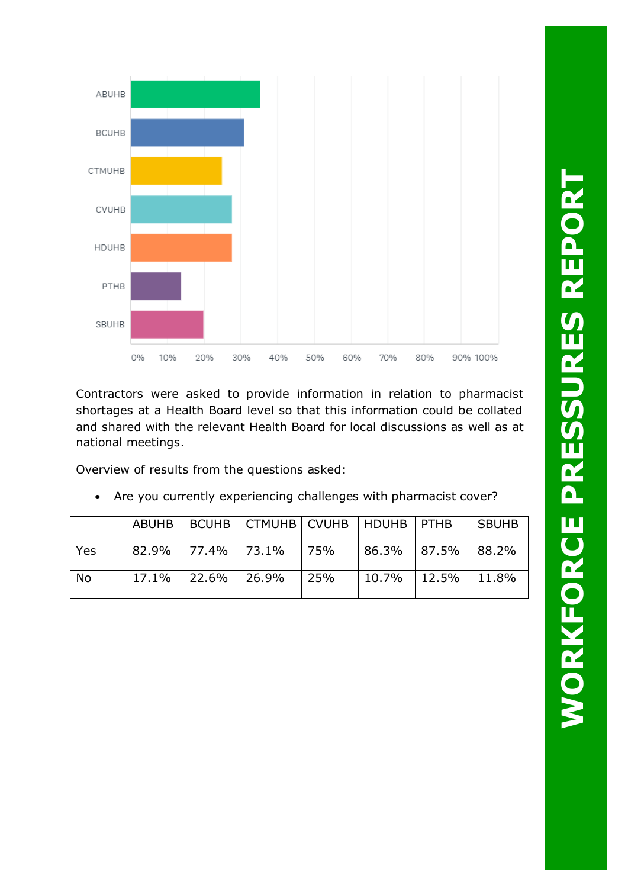

Contractors were asked to provide information in relation to pharmacist shortages at a Health Board level so that this information could be collated and shared with the relevant Health Board for local discussions as well as at national meetings.

Overview of results from the questions asked:

|     |                | ABUHB   BCUHB   CTMUHB   CVUHB   HDUHB   PTHB |     |                          | <b>SBUHB</b> |
|-----|----------------|-----------------------------------------------|-----|--------------------------|--------------|
| Yes |                | 82.9% 77.4% 73.1% 75%                         |     | $ 86.3\% 87.5\% 88.2\%$  |              |
| No  | $17.1\%$ 22.6% | 26.9%                                         | 25% | $10.7\%$   12.5%   11.8% |              |

• Are you currently experiencing challenges with pharmacist cover?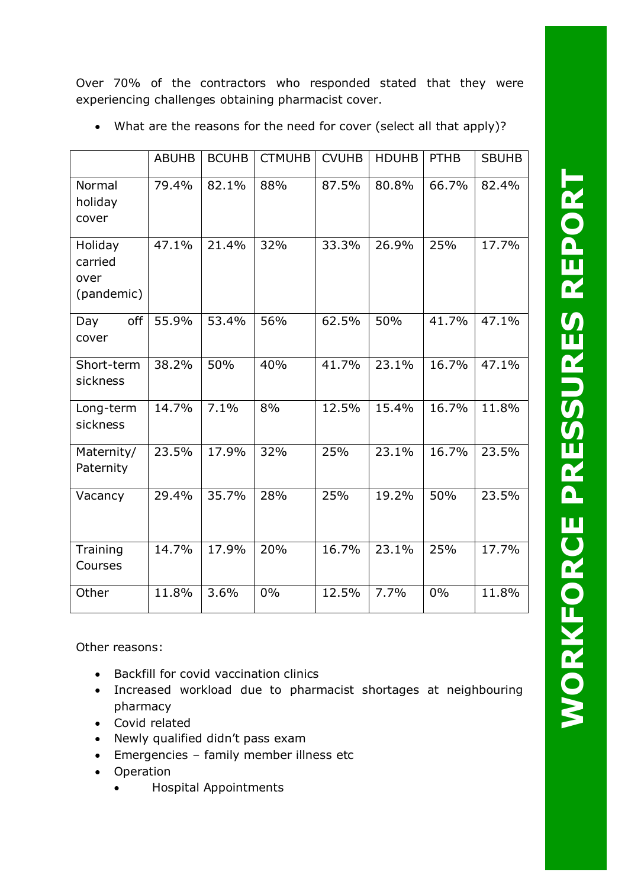Over 70% of the contractors who responded stated that they were experiencing challenges obtaining pharmacist cover.

|                                          | <b>ABUHB</b> | <b>BCUHB</b> | <b>CTMUHB</b> | <b>CVUHB</b> | <b>HDUHB</b> | <b>PTHB</b> | <b>SBUHB</b> |
|------------------------------------------|--------------|--------------|---------------|--------------|--------------|-------------|--------------|
| Normal<br>holiday<br>cover               | 79.4%        | 82.1%        | 88%           | 87.5%        | 80.8%        | 66.7%       | 82.4%        |
| Holiday<br>carried<br>over<br>(pandemic) | 47.1%        | 21.4%        | 32%           | 33.3%        | 26.9%        | 25%         | 17.7%        |
| off<br>Day<br>cover                      | 55.9%        | 53.4%        | 56%           | 62.5%        | 50%          | 41.7%       | 47.1%        |
| Short-term<br>sickness                   | 38.2%        | 50%          | 40%           | 41.7%        | 23.1%        | 16.7%       | 47.1%        |
| Long-term<br>sickness                    | 14.7%        | 7.1%         | 8%            | 12.5%        | 15.4%        | 16.7%       | 11.8%        |
| Maternity/<br>Paternity                  | 23.5%        | 17.9%        | 32%           | 25%          | 23.1%        | 16.7%       | 23.5%        |
| Vacancy                                  | 29.4%        | 35.7%        | 28%           | 25%          | 19.2%        | 50%         | 23.5%        |
| Training<br>Courses                      | 14.7%        | 17.9%        | 20%           | 16.7%        | 23.1%        | 25%         | 17.7%        |
| Other                                    | 11.8%        | 3.6%         | 0%            | 12.5%        | 7.7%         | 0%          | 11.8%        |

• What are the reasons for the need for cover (select all that apply)?

Other reasons:

- Backfill for covid vaccination clinics
- Increased workload due to pharmacist shortages at neighbouring pharmacy
- Covid related
- Newly qualified didn't pass exam
- Emergencies family member illness etc
- Operation
	- Hospital Appointments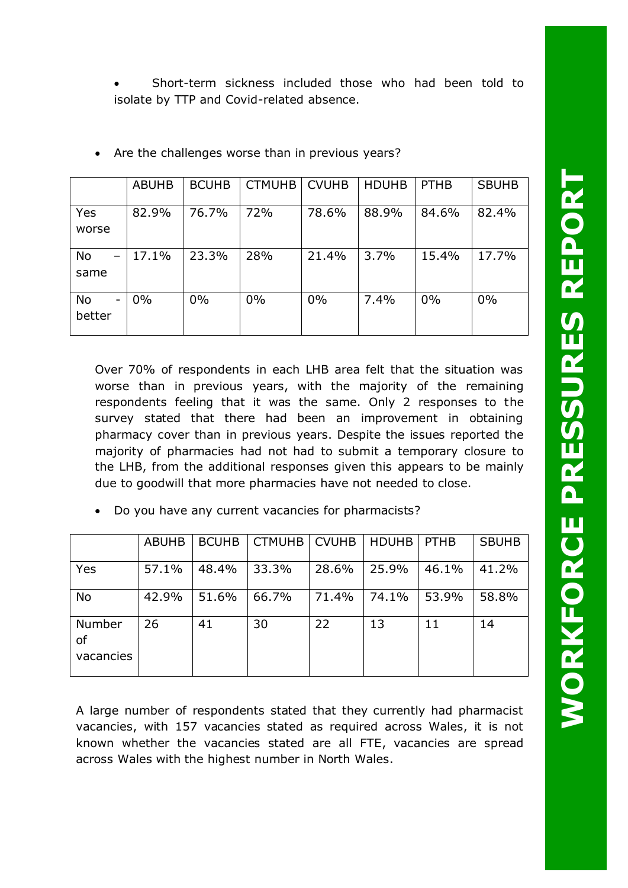• Short-term sickness included those who had been told to isolate by TTP and Covid-related absence.

|                   | <b>ABUHB</b> | <b>BCUHB</b> | <b>CTMUHB</b> | <b>CVUHB</b> | <b>HDUHB</b> | <b>PTHB</b> | <b>SBUHB</b> |
|-------------------|--------------|--------------|---------------|--------------|--------------|-------------|--------------|
| Yes<br>worse      | 82.9%        | 76.7%        | 72%           | 78.6%        | 88.9%        | 84.6%       | 82.4%        |
| No<br>same        | 17.1%        | 23.3%        | 28%           | 21.4%        | 3.7%         | 15.4%       | 17.7%        |
| No<br>-<br>better | 0%           | $0\%$        | 0%            | 0%           | 7.4%         | $0\%$       | $0\%$        |

• Are the challenges worse than in previous years?

Over 70% of respondents in each LHB area felt that the situation was worse than in previous years, with the majority of the remaining respondents feeling that it was the same. Only 2 responses to the survey stated that there had been an improvement in obtaining pharmacy cover than in previous years. Despite the issues reported the majority of pharmacies had not had to submit a temporary closure to the LHB, from the additional responses given this appears to be mainly due to goodwill that more pharmacies have not needed to close.

|                           | <b>ABUHB</b> | <b>BCUHB</b> | CTMUHB   CVUHB |       | <b>HDUHB</b> | <b>PTHB</b> | <b>SBUHB</b> |
|---------------------------|--------------|--------------|----------------|-------|--------------|-------------|--------------|
| Yes                       | 57.1%        | 48.4%        | 33.3%          | 28.6% | 25.9%        | 46.1%       | 41.2%        |
| <b>No</b>                 | 42.9%        | 51.6%        | 66.7%          | 71.4% | 74.1%        | 53.9%       | 58.8%        |
| Number<br>οf<br>vacancies | 26           | 41           | 30             | 22    | 13           | 11          | 14           |

• Do you have any current vacancies for pharmacists?

A large number of respondents stated that they currently had pharmacist vacancies, with 157 vacancies stated as required across Wales, it is not known whether the vacancies stated are all FTE, vacancies are spread across Wales with the highest number in North Wales.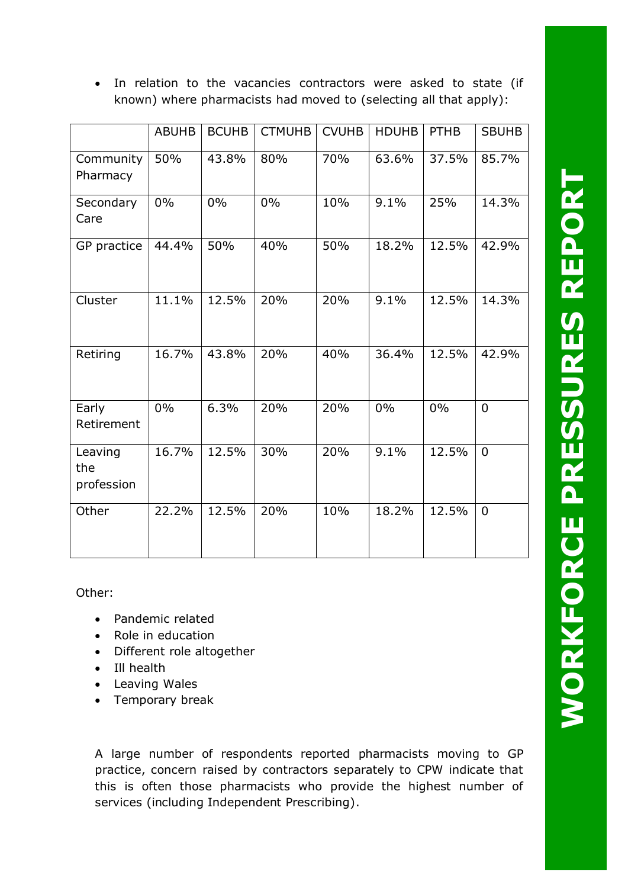In relation to the vacancies contractors were asked to state (if known) where pharmacists had moved to (selecting all that apply):

|                              | <b>ABUHB</b> | <b>BCUHB</b> | <b>CTMUHB</b> | <b>CVUHB</b> | <b>HDUHB</b> | <b>PTHB</b> | <b>SBUHB</b>   |
|------------------------------|--------------|--------------|---------------|--------------|--------------|-------------|----------------|
| Community<br>Pharmacy        | 50%          | 43.8%        | 80%           | 70%          | 63.6%        | 37.5%       | 85.7%          |
| Secondary<br>Care            | $0\%$        | 0%           | 0%            | 10%          | 9.1%         | 25%         | 14.3%          |
| GP practice                  | 44.4%        | 50%          | 40%           | 50%          | 18.2%        | 12.5%       | 42.9%          |
| Cluster                      | 11.1%        | 12.5%        | 20%           | 20%          | 9.1%         | 12.5%       | 14.3%          |
| Retiring                     | 16.7%        | 43.8%        | 20%           | 40%          | 36.4%        | 12.5%       | 42.9%          |
| Early<br>Retirement          | 0%           | 6.3%         | 20%           | 20%          | 0%           | 0%          | 0              |
| Leaving<br>the<br>profession | 16.7%        | 12.5%        | 30%           | 20%          | 9.1%         | 12.5%       | $\overline{0}$ |
| Other                        | 22.2%        | 12.5%        | 20%           | 10%          | 18.2%        | 12.5%       | $\overline{0}$ |

Other:

- Pandemic related
- Role in education
- Different role altogether
- Ill health
- Leaving Wales
- Temporary break

A large number of respondents reported pharmacists moving to GP practice, concern raised by contractors separately to CPW indicate that this is often those pharmacists who provide the highest number of services (including Independent Prescribing).

**WORKFORCE PRESSURES REPORT WORKFORCE PRESSURES REPORT**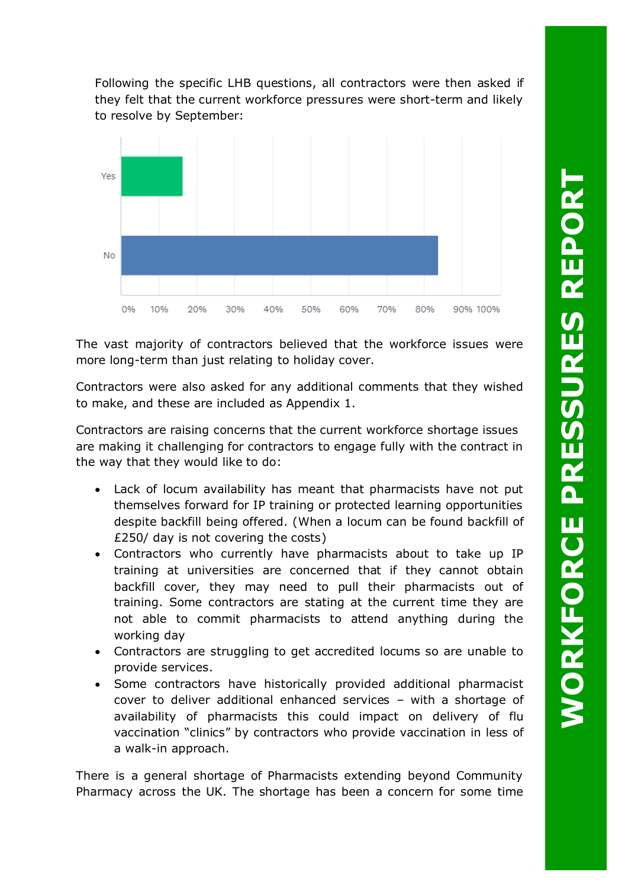Following the specific LHB questions, all contractors were then asked if they felt that the current workforce pressures were short-term and likely to resolve by September:



The vast majority of contractors believed that the workforce issues were more long-term than just relating to holiday cover.

Contractors were also asked for any additional comments that they wished to make, and these are included as Appendix 1.

Contractors are raising concerns that the current workforce shortage issues are making it challenging for contractors to engage fully with the contract in the way that they would like to do:

- Lack of locum availability has meant that pharmacists have not put themselves forward for IP training or protected learning opportunities despite backfill being offered. (When a locum can be found backfill of £250/ day is not covering the costs)
- Contractors who currently have pharmacists about to take up IP training at universities are concerned that if they cannot obtain backfill cover, they may need to pull their pharmacists out of training. Some contractors are stating at the current time they are not able to commit pharmacists to attend anything during the working day
- Contractors are struggling to get accredited locums so are unable to provide services.
- Some contractors have historically provided additional pharmacist cover to deliver additional enhanced services – with a shortage of availability of pharmacists this could impact on delivery of flu vaccination "clinics" by contractors who provide vaccination in less of a walk-in approach.

There is a general shortage of Pharmacists extending beyond Community Pharmacy across the UK. The shortage has been a concern for some time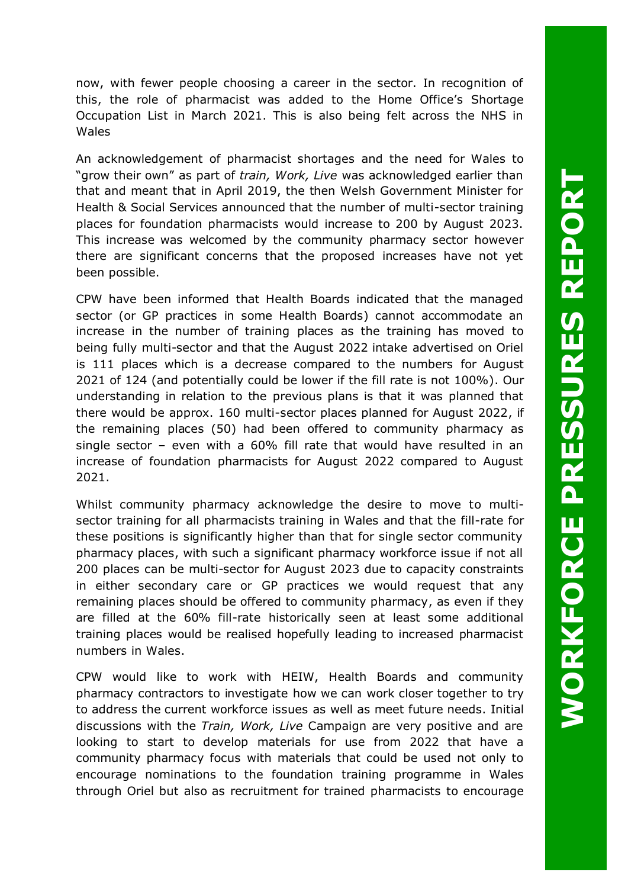now, with fewer people choosing a career in the sector. In recognition of this, the role of pharmacist was added to the Home Office's Shortage Occupation List in March 2021. This is also being felt across the NHS in Wales

An acknowledgement of pharmacist shortages and the need for Wales to "grow their own" as part of *train, Work, Live* was acknowledged earlier than that and meant that in April 2019, the then Welsh Government Minister for Health & Social Services announced that the number of multi-sector training places for foundation pharmacists would increase to 200 by August 2023. This increase was welcomed by the community pharmacy sector however there are significant concerns that the proposed increases have not yet been possible.

CPW have been informed that Health Boards indicated that the managed sector (or GP practices in some Health Boards) cannot accommodate an increase in the number of training places as the training has moved to being fully multi-sector and that the August 2022 intake advertised on Oriel is 111 places which is a decrease compared to the numbers for August 2021 of 124 (and potentially could be lower if the fill rate is not 100%). Our understanding in relation to the previous plans is that it was planned that there would be approx. 160 multi-sector places planned for August 2022, if the remaining places (50) had been offered to community pharmacy as single sector – even with a 60% fill rate that would have resulted in an increase of foundation pharmacists for August 2022 compared to August 2021.

Whilst community pharmacy acknowledge the desire to move to multisector training for all pharmacists training in Wales and that the fill-rate for these positions is significantly higher than that for single sector community pharmacy places, with such a significant pharmacy workforce issue if not all 200 places can be multi-sector for August 2023 due to capacity constraints in either secondary care or GP practices we would request that any remaining places should be offered to community pharmacy, as even if they are filled at the 60% fill-rate historically seen at least some additional training places would be realised hopefully leading to increased pharmacist numbers in Wales.

CPW would like to work with HEIW, Health Boards and community pharmacy contractors to investigate how we can work closer together to try to address the current workforce issues as well as meet future needs. Initial discussions with the *Train, Work, Live* Campaign are very positive and are looking to start to develop materials for use from 2022 that have a community pharmacy focus with materials that could be used not only to encourage nominations to the foundation training programme in Wales through Oriel but also as recruitment for trained pharmacists to encourage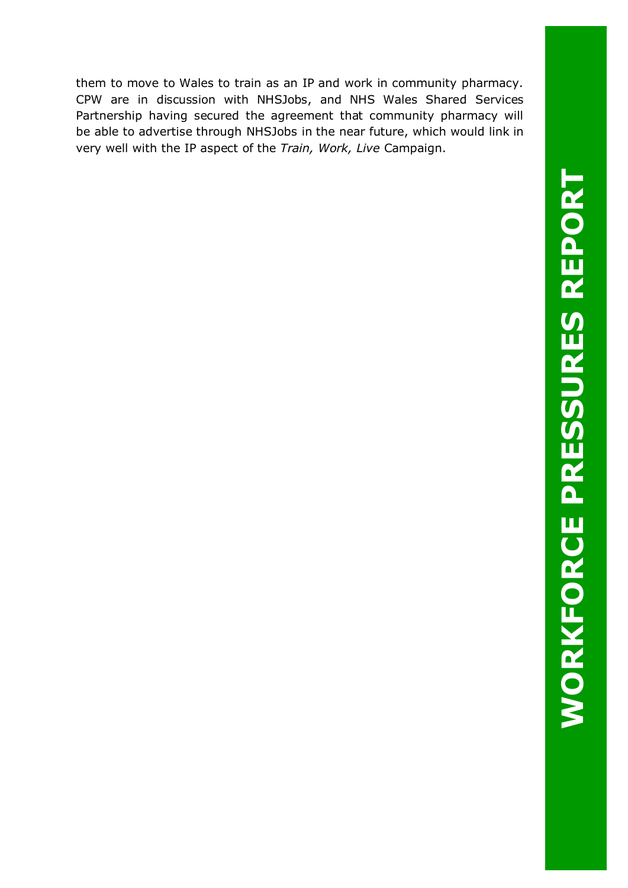them to move to Wales to train as an IP and work in community pharmacy. CPW are in discussion with NHSJobs, and NHS Wales Shared Services Partnership having secured the agreement that community pharmacy will be able to advertise through NHSJobs in the near future, which would link in very well with the IP aspect of the *Train, Work, Live* Campaign.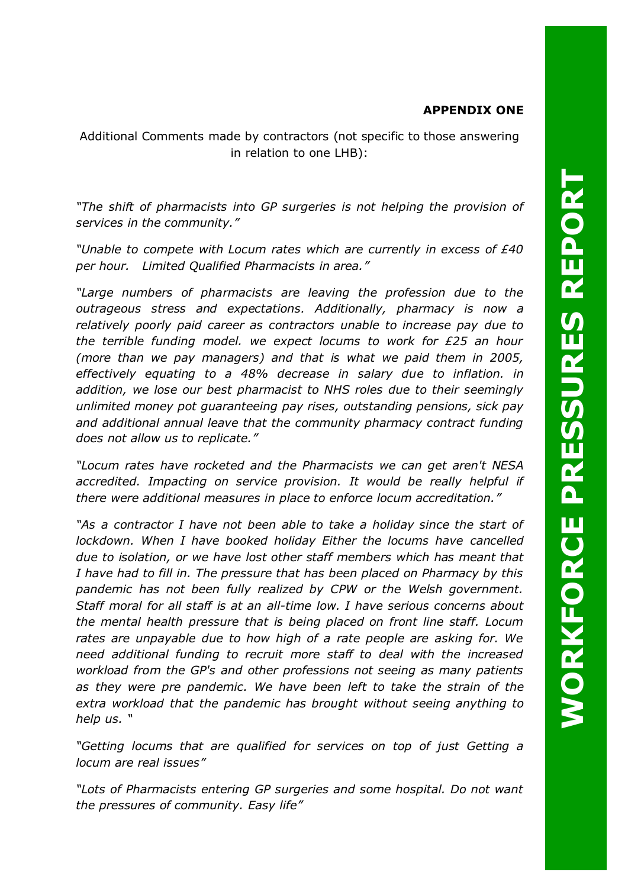## **APPENDIX ONE**

Additional Comments made by contractors (not specific to those answering in relation to one LHB):

*"The shift of pharmacists into GP surgeries is not helping the provision of services in the community."*

*"Unable to compete with Locum rates which are currently in excess of £40 per hour. Limited Qualified Pharmacists in area."*

*"Large numbers of pharmacists are leaving the profession due to the outrageous stress and expectations. Additionally, pharmacy is now a relatively poorly paid career as contractors unable to increase pay due to the terrible funding model. we expect locums to work for £25 an hour (more than we pay managers) and that is what we paid them in 2005, effectively equating to a 48% decrease in salary due to inflation. in addition, we lose our best pharmacist to NHS roles due to their seemingly unlimited money pot guaranteeing pay rises, outstanding pensions, sick pay and additional annual leave that the community pharmacy contract funding does not allow us to replicate."*

*"Locum rates have rocketed and the Pharmacists we can get aren't NESA accredited. Impacting on service provision. It would be really helpful if there were additional measures in place to enforce locum accreditation."*

"As a contractor I have not been able to take a holiday since the start of *lockdown. When I have booked holiday Either the locums have cancelled due to isolation, or we have lost other staff members which has meant that I have had to fill in. The pressure that has been placed on Pharmacy by this pandemic has not been fully realized by CPW or the Welsh government. Staff moral for all staff is at an all-time low. I have serious concerns about the mental health pressure that is being placed on front line staff. Locum rates are unpayable due to how high of a rate people are asking for. We need additional funding to recruit more staff to deal with the increased workload from the GP's and other professions not seeing as many patients as they were pre pandemic. We have been left to take the strain of the extra workload that the pandemic has brought without seeing anything to help us. "*

*"Getting locums that are qualified for services on top of just Getting a locum are real issues"*

*"Lots of Pharmacists entering GP surgeries and some hospital. Do not want the pressures of community. Easy life"*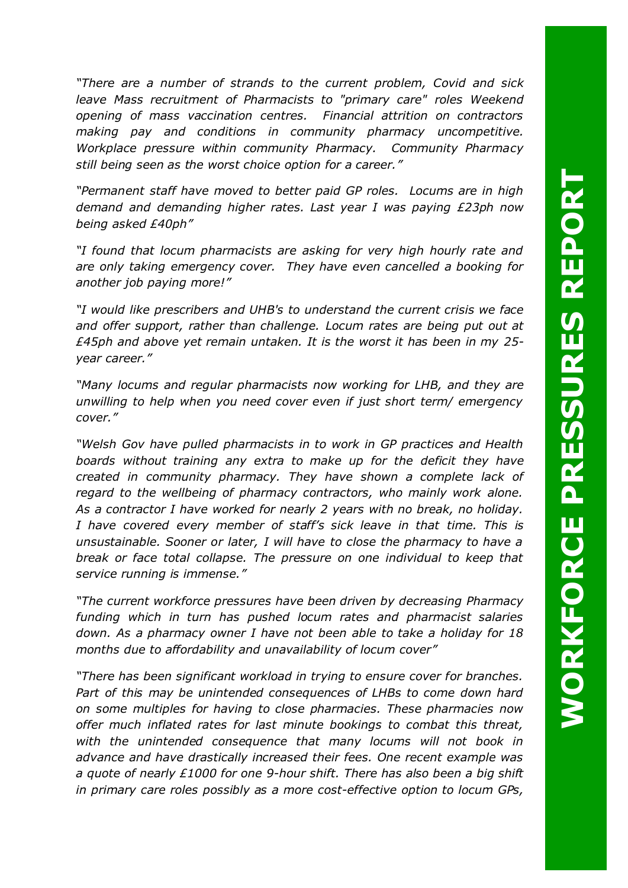**WORKFORCE PRESSURES REPORT WORKFORCE PRESSURES REPORT** 

*"There are a number of strands to the current problem, Covid and sick leave Mass recruitment of Pharmacists to "primary care" roles Weekend opening of mass vaccination centres. Financial attrition on contractors making pay and conditions in community pharmacy uncompetitive. Workplace pressure within community Pharmacy. Community Pharmacy still being seen as the worst choice option for a career."*

*"Permanent staff have moved to better paid GP roles. Locums are in high demand and demanding higher rates. Last year I was paying £23ph now being asked £40ph"*

*"I found that locum pharmacists are asking for very high hourly rate and are only taking emergency cover. They have even cancelled a booking for another job paying more!"*

*"I would like prescribers and UHB's to understand the current crisis we face and offer support, rather than challenge. Locum rates are being put out at £45ph and above yet remain untaken. It is the worst it has been in my 25 year career."*

*"Many locums and regular pharmacists now working for LHB, and they are unwilling to help when you need cover even if just short term/ emergency cover."*

*"Welsh Gov have pulled pharmacists in to work in GP practices and Health boards without training any extra to make up for the deficit they have created in community pharmacy. They have shown a complete lack of regard to the wellbeing of pharmacy contractors, who mainly work alone. As a contractor I have worked for nearly 2 years with no break, no holiday. I have covered every member of staff's sick leave in that time. This is unsustainable. Sooner or later, I will have to close the pharmacy to have a break or face total collapse. The pressure on one individual to keep that service running is immense."*

*"The current workforce pressures have been driven by decreasing Pharmacy funding which in turn has pushed locum rates and pharmacist salaries down. As a pharmacy owner I have not been able to take a holiday for 18 months due to affordability and unavailability of locum cover"*

*"There has been significant workload in trying to ensure cover for branches. Part of this may be unintended consequences of LHBs to come down hard on some multiples for having to close pharmacies. These pharmacies now offer much inflated rates for last minute bookings to combat this threat, with the unintended consequence that many locums will not book in advance and have drastically increased their fees. One recent example was a quote of nearly £1000 for one 9-hour shift. There has also been a big shift in primary care roles possibly as a more cost-effective option to locum GPs,*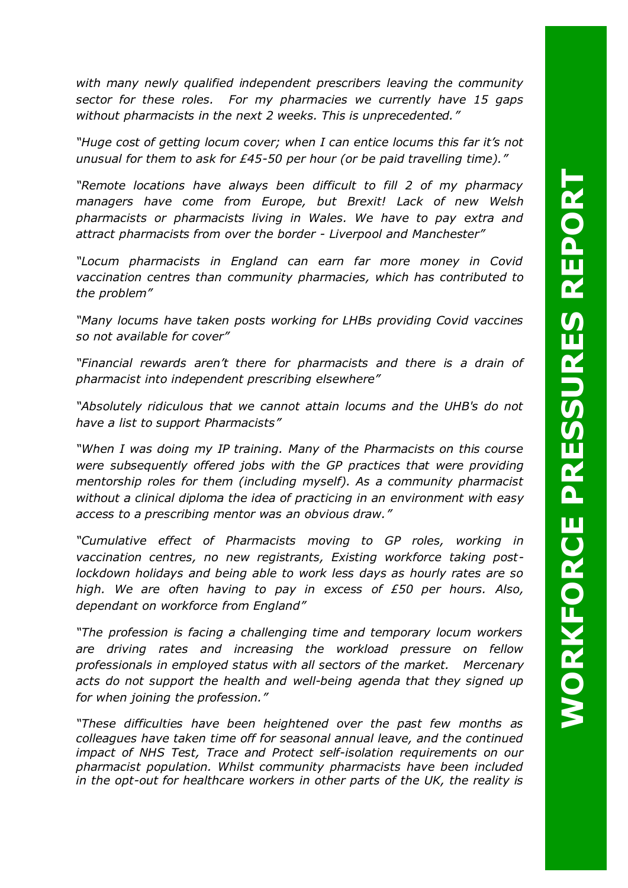*with many newly qualified independent prescribers leaving the community sector for these roles. For my pharmacies we currently have 15 gaps without pharmacists in the next 2 weeks. This is unprecedented."*

*"Huge cost of getting locum cover; when I can entice locums this far it's not unusual for them to ask for £45-50 per hour (or be paid travelling time)."*

*"Remote locations have always been difficult to fill 2 of my pharmacy managers have come from Europe, but Brexit! Lack of new Welsh pharmacists or pharmacists living in Wales. We have to pay extra and attract pharmacists from over the border - Liverpool and Manchester"*

*"Locum pharmacists in England can earn far more money in Covid vaccination centres than community pharmacies, which has contributed to the problem"*

*"Many locums have taken posts working for LHBs providing Covid vaccines so not available for cover"*

*"Financial rewards aren't there for pharmacists and there is a drain of pharmacist into independent prescribing elsewhere"*

*"Absolutely ridiculous that we cannot attain locums and the UHB's do not have a list to support Pharmacists"*

*"When I was doing my IP training. Many of the Pharmacists on this course were subsequently offered jobs with the GP practices that were providing mentorship roles for them (including myself). As a community pharmacist without a clinical diploma the idea of practicing in an environment with easy access to a prescribing mentor was an obvious draw."*

*"Cumulative effect of Pharmacists moving to GP roles, working in vaccination centres, no new registrants, Existing workforce taking postlockdown holidays and being able to work less days as hourly rates are so high. We are often having to pay in excess of £50 per hours. Also, dependant on workforce from England"*

*"The profession is facing a challenging time and temporary locum workers are driving rates and increasing the workload pressure on fellow professionals in employed status with all sectors of the market. Mercenary acts do not support the health and well-being agenda that they signed up for when joining the profession."*

*"These difficulties have been heightened over the past few months as colleagues have taken time off for seasonal annual leave, and the continued impact of NHS Test, Trace and Protect self-isolation requirements on our pharmacist population. Whilst community pharmacists have been included in the opt-out for healthcare workers in other parts of the UK, the reality is*